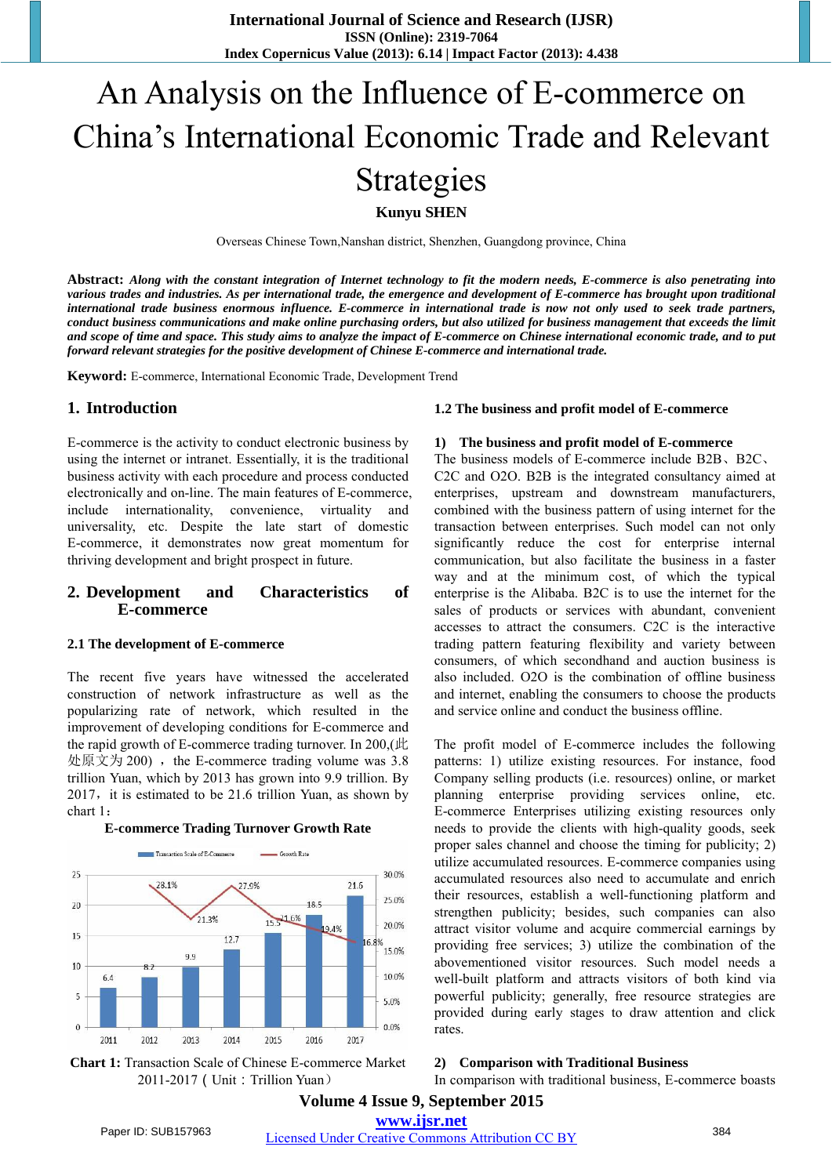**International Journal of Science and Research (IJSR) ISSN (Online): 2319-7064 Index Copernicus Value (2013): 6.14 | Impact Factor (2013): 4.438** 

# An Analysis on the Influence of E-commerce on China's International Economic Trade and Relevant Strategies

**Kunyu SHEN**

Overseas Chinese Town,Nanshan district, Shenzhen, Guangdong province, China

Abstract: Along with the constant integration of Internet technology to fit the modern needs, E-commerce is also penetrating into various trades and industries. As per international trade, the emergence and development of E-commerce has brought upon traditional international trade business enormous influence. E-commerce in international trade is now not only used to seek trade partners, conduct business communications and make online purchasing orders, but also utilized for business management that exceeds the limit and scope of time and space. This study aims to analyze the impact of E-commerce on Chinese international economic trade, and to put *forward relevant strategies for the positive development of Chinese E-commerce and international trade.*

**Keyword:** E-commerce, International Economic Trade, Development Trend

#### **1. Introduction**

E-commerce is the activity to conduct electronic business by using the internet or intranet. Essentially, it is the traditional business activity with each procedure and process conducted electronically and on-line. The main features of E-commerce, include internationality, convenience, virtuality and universality, etc. Despite the late start of domestic E-commerce, it demonstrates now great momentum for thriving development and bright prospect in future.

#### **2. Development and Characteristics of E-commerce**

#### **2.1 The development of E-commerce**

The recent five years have witnessed the accelerated construction of network infrastructure as well as the popularizing rate of network, which resulted in the improvement of developing conditions for E-commerce and the rapid growth of E-commerce trading turnover. In 200,(此 处原文为 200), the E-commerce trading volume was 3.8 trillion Yuan, which by 2013 has grown into 9.9 trillion. By  $2017$ , it is estimated to be 21.6 trillion Yuan, as shown by chart 1:



**E-commerce Trading Turnover Growth Rate**

#### **Chart 1:** Transaction Scale of Chinese E-commerce Market 2011-2017(Unit:Trillion Yuan)

#### **1.2 The business and profit model of E-commerce**

#### **1) The business and profit model of E-commerce**

The business models of E-commerce include B2B、B2C、 C2C and O2O. B2B is the integrated consultancy aimed at enterprises, upstream and downstream manufacturers, combined with the business pattern of using internet for the transaction between enterprises. Such model can not only significantly reduce the cost for enterprise internal communication, but also facilitate the business in a faster way and at the minimum cost, of which the typical enterprise is the Alibaba. B2C is to use the internet for the sales of products or services with abundant, convenient accesses to attract the consumers. C2C is the interactive trading pattern featuring flexibility and variety between consumers, of which secondhand and auction business is also included. O2O is the combination of offline business and internet, enabling the consumers to choose the products and service online and conduct the business offline.

The profit model of E-commerce includes the following patterns: 1) utilize existing resources. For instance, food Company selling products (i.e. resources) online, or market planning enterprise providing services online, etc. E-commerce Enterprises utilizing existing resources only needs to provide the clients with high-quality goods, seek proper sales channel and choose the timing for publicity; 2) utilize accumulated resources. E-commerce companies using accumulated resources also need to accumulate and enrich their resources, establish a well-functioning platform and strengthen publicity; besides, such companies can also attract visitor volume and acquire commercial earnings by providing free services; 3) utilize the combination of the abovementioned visitor resources. Such model needs a well-built platform and attracts visitors of both kind via powerful publicity; generally, free resource strategies are provided during early stages to draw attention and click rates.

#### **2) Comparison with Traditional Business**

In comparison with traditional business, E-commerce boasts

#### **Volume 4 Issue 9, September 2015 www.ijsr.net**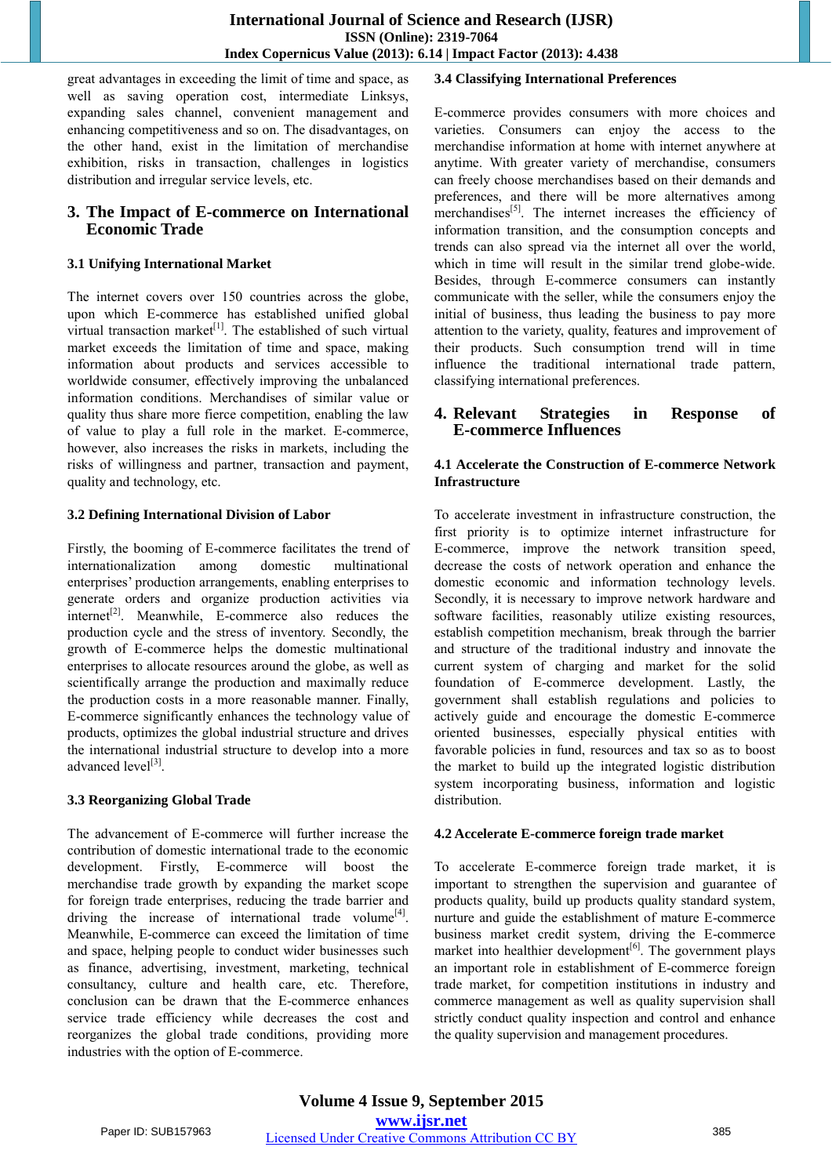great advantages in exceeding the limit of time and space, as well as saving operation cost, intermediate Linksys, expanding sales channel, convenient management and enhancing competitiveness and so on. The disadvantages, on the other hand, exist in the limitation of merchandise exhibition, risks in transaction, challenges in logistics distribution and irregular service levels, etc.

## **3. The Impact of E-commerce on International Economic Trade**

#### **3.1 Unifying International Market**

The internet covers over 150 countries across the globe, upon which E-commerce has established unified global virtual transaction market<sup>[1]</sup>. The established of such virtual market exceeds the limitation of time and space, making information about products and services accessible to worldwide consumer, effectively improving the unbalanced information conditions. Merchandises of similar value or quality thus share more fierce competition, enabling the law of value to play a full role in the market. E-commerce, however, also increases the risks in markets, including the risks of willingness and partner, transaction and payment, quality and technology, etc.

#### **3.2 Defining International Division of Labor**

Firstly, the booming of E-commerce facilitates the trend of internationalization among domestic multinational enterprises' production arrangements, enabling enterprises to generate orders and organize production activities via internet<sup>[2]</sup>. Meanwhile, E-commerce also reduces the production cycle and the stress of inventory. Secondly, the growth of E-commerce helps the domestic multinational enterprises to allocate resources around the globe, as well as scientifically arrange the production and maximally reduce the production costs in a more reasonable manner. Finally, E-commerce significantly enhances the technology value of products, optimizes the global industrial structure and drives the international industrial structure to develop into a more advanced level<sup>[3]</sup>.

#### **3.3 Reorganizing Global Trade**

The advancement of E-commerce will further increase the contribution of domestic international trade to the economic development. Firstly, E-commerce will boost the merchandise trade growth by expanding the market scope for foreign trade enterprises, reducing the trade barrier and driving the increase of international trade volume<sup>[4]</sup>. Meanwhile, E-commerce can exceed the limitation of time and space, helping people to conduct wider businesses such as finance, advertising, investment, marketing, technical consultancy, culture and health care, etc. Therefore, conclusion can be drawn that the E-commerce enhances service trade efficiency while decreases the cost and reorganizes the global trade conditions, providing more industries with the option of E-commerce.

#### **3.4 Classifying International Preferences**

E-commerce provides consumers with more choices and varieties. Consumers can enjoy the access to the merchandise information at home with internet anywhere at anytime. With greater variety of merchandise, consumers can freely choose merchandises based on their demands and preferences, and there will be more alternatives among merchandises<sup>[5]</sup>. The internet increases the efficiency of information transition, and the consumption concepts and trends can also spread via the internet all over the world, which in time will result in the similar trend globe-wide. Besides, through E-commerce consumers can instantly communicate with the seller, while the consumers enjoy the initial of business, thus leading the business to pay more attention to the variety, quality, features and improvement of their products. Such consumption trend will in time influence the traditional international trade pattern, classifying international preferences.

## **4. Relevant Strategies in Response of E-commerce Influences**

#### **4.1 Accelerate the Construction of E-commerce Network Infrastructure**

To accelerate investment in infrastructure construction, the first priority is to optimize internet infrastructure for E-commerce, improve the network transition speed, decrease the costs of network operation and enhance the domestic economic and information technology levels. Secondly, it is necessary to improve network hardware and software facilities, reasonably utilize existing resources, establish competition mechanism, break through the barrier and structure of the traditional industry and innovate the current system of charging and market for the solid foundation of E-commerce development. Lastly, the government shall establish regulations and policies to actively guide and encourage the domestic E-commerce oriented businesses, especially physical entities with favorable policies in fund, resources and tax so as to boost the market to build up the integrated logistic distribution system incorporating business, information and logistic distribution.

#### **4.2 Accelerate E-commerce foreign trade market**

To accelerate E-commerce foreign trade market, it is important to strengthen the supervision and guarantee of products quality, build up products quality standard system, nurture and guide the establishment of mature E-commerce business market credit system, driving the E-commerce market into healthier development<sup>[6]</sup>. The government plays an important role in establishment of E-commerce foreign trade market, for competition institutions in industry and commerce management as well as quality supervision shall strictly conduct quality inspection and control and enhance the quality supervision and management procedures.